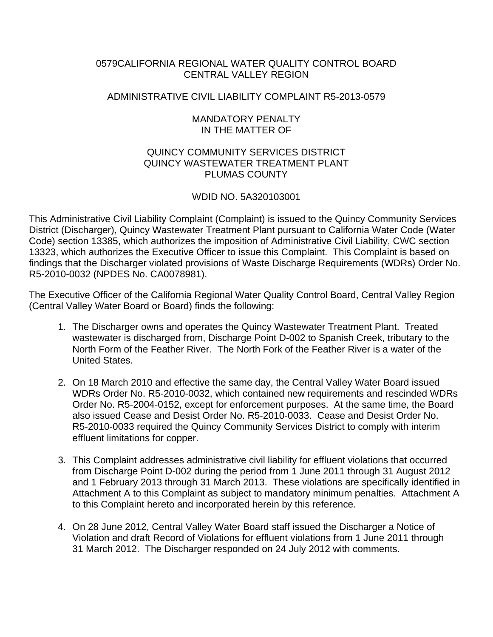## 0579CALIFORNIA REGIONAL WATER QUALITY CONTROL BOARD CENTRAL VALLEY REGION

## ADMINISTRATIVE CIVIL LIABILITY COMPLAINT R5-2013-0579

## MANDATORY PENALTY IN THE MATTER OF

## QUINCY COMMUNITY SERVICES DISTRICT QUINCY WASTEWATER TREATMENT PLANT PLUMAS COUNTY

# WDID NO. 5A320103001

This Administrative Civil Liability Complaint (Complaint) is issued to the Quincy Community Services District (Discharger), Quincy Wastewater Treatment Plant pursuant to California Water Code (Water Code) section 13385, which authorizes the imposition of Administrative Civil Liability, CWC section 13323, which authorizes the Executive Officer to issue this Complaint. This Complaint is based on findings that the Discharger violated provisions of Waste Discharge Requirements (WDRs) Order No. R5-2010-0032 (NPDES No. CA0078981).

The Executive Officer of the California Regional Water Quality Control Board, Central Valley Region (Central Valley Water Board or Board) finds the following:

- 1. The Discharger owns and operates the Quincy Wastewater Treatment Plant. Treated wastewater is discharged from, Discharge Point D-002 to Spanish Creek, tributary to the North Form of the Feather River. The North Fork of the Feather River is a water of the United States.
- 2. On 18 March 2010 and effective the same day, the Central Valley Water Board issued WDRs Order No. R5-2010-0032, which contained new requirements and rescinded WDRs Order No. R5-2004-0152, except for enforcement purposes. At the same time, the Board also issued Cease and Desist Order No. R5-2010-0033. Cease and Desist Order No. R5-2010-0033 required the Quincy Community Services District to comply with interim effluent limitations for copper.
- 3. This Complaint addresses administrative civil liability for effluent violations that occurred from Discharge Point D-002 during the period from 1 June 2011 through 31 August 2012 and 1 February 2013 through 31 March 2013. These violations are specifically identified in Attachment A to this Complaint as subject to mandatory minimum penalties. Attachment A to this Complaint hereto and incorporated herein by this reference.
- 4. On 28 June 2012, Central Valley Water Board staff issued the Discharger a Notice of Violation and draft Record of Violations for effluent violations from 1 June 2011 through 31 March 2012. The Discharger responded on 24 July 2012 with comments.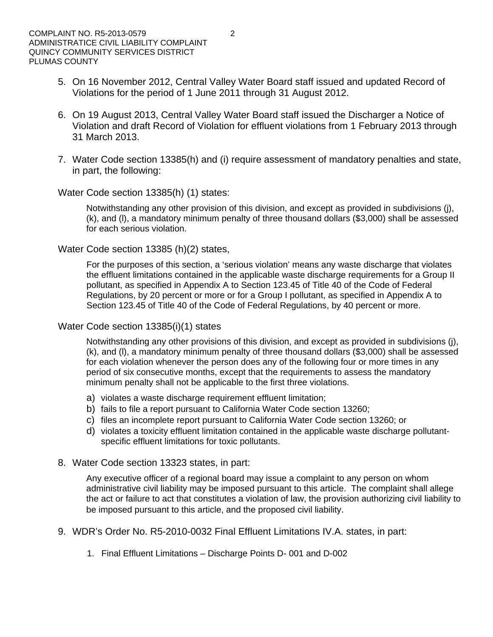- 5. On 16 November 2012, Central Valley Water Board staff issued and updated Record of Violations for the period of 1 June 2011 through 31 August 2012.
- 6. On 19 August 2013, Central Valley Water Board staff issued the Discharger a Notice of Violation and draft Record of Violation for effluent violations from 1 February 2013 through 31 March 2013.
- 7. Water Code section 13385(h) and (i) require assessment of mandatory penalties and state, in part, the following:

### Water Code section 13385(h) (1) states:

Notwithstanding any other provision of this division, and except as provided in subdivisions (j), (k), and (l), a mandatory minimum penalty of three thousand dollars (\$3,000) shall be assessed for each serious violation.

## Water Code section 13385 (h)(2) states,

For the purposes of this section, a 'serious violation' means any waste discharge that violates the effluent limitations contained in the applicable waste discharge requirements for a Group II pollutant, as specified in Appendix A to Section 123.45 of Title 40 of the Code of Federal Regulations, by 20 percent or more or for a Group I pollutant, as specified in Appendix A to Section 123.45 of Title 40 of the Code of Federal Regulations, by 40 percent or more.

## Water Code section 13385(i)(1) states

Notwithstanding any other provisions of this division, and except as provided in subdivisions (j), (k), and (l), a mandatory minimum penalty of three thousand dollars (\$3,000) shall be assessed for each violation whenever the person does any of the following four or more times in any period of six consecutive months, except that the requirements to assess the mandatory minimum penalty shall not be applicable to the first three violations.

- a) violates a waste discharge requirement effluent limitation;
- b) fails to file a report pursuant to California Water Code section 13260;
- c) files an incomplete report pursuant to California Water Code section 13260; or
- d) violates a toxicity effluent limitation contained in the applicable waste discharge pollutantspecific effluent limitations for toxic pollutants.
- 8. Water Code section 13323 states, in part:

Any executive officer of a regional board may issue a complaint to any person on whom administrative civil liability may be imposed pursuant to this article. The complaint shall allege the act or failure to act that constitutes a violation of law, the provision authorizing civil liability to be imposed pursuant to this article, and the proposed civil liability.

- 9. WDR's Order No. R5-2010-0032 Final Effluent Limitations IV.A. states, in part:
	- 1. Final Effluent Limitations Discharge Points D- 001 and D-002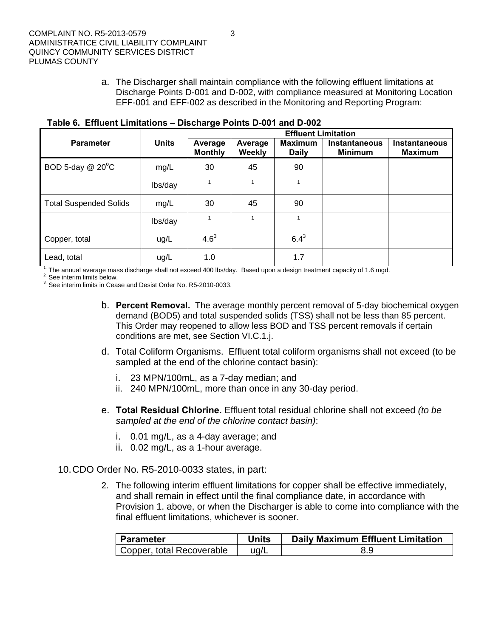a. The Discharger shall maintain compliance with the following effluent limitations at Discharge Points D-001 and D-002, with compliance measured at Monitoring Location EFF-001 and EFF-002 as described in the Monitoring and Reporting Program:

|                               |              | ----- --- <del>-</del> -<br><b>Effluent Limitation</b> |                   |                                |                                        |                                        |  |  |
|-------------------------------|--------------|--------------------------------------------------------|-------------------|--------------------------------|----------------------------------------|----------------------------------------|--|--|
| <b>Parameter</b>              | <b>Units</b> | Average<br><b>Monthly</b>                              | Average<br>Weekly | <b>Maximum</b><br><b>Daily</b> | <b>Instantaneous</b><br><b>Minimum</b> | <b>Instantaneous</b><br><b>Maximum</b> |  |  |
| BOD 5-day @ 20°C              | mg/L         | 30                                                     | 45                | 90                             |                                        |                                        |  |  |
|                               | lbs/day      | 1                                                      | 1                 |                                |                                        |                                        |  |  |
| <b>Total Suspended Solids</b> | mg/L         | 30                                                     | 45                | 90                             |                                        |                                        |  |  |
|                               | lbs/day      |                                                        | 1                 |                                |                                        |                                        |  |  |
| Copper, total                 | ug/L         | $4.6^{3}$                                              |                   | $6.4^{3}$                      |                                        |                                        |  |  |
| Lead, total                   | ug/L         | 1.0                                                    |                   | 1.7                            |                                        |                                        |  |  |

**Table 6. Effluent Limitations – Discharge Points D-001 and D-002** 

<sup>1.</sup> The annual average mass discharge shall not exceed 400 lbs/day. Based upon a design treatment capacity of 1.6 mgd.  $2^{\circ}$  See interim limits below.

<sup>3</sup>. See interim limits in Cease and Desist Order No. R5-2010-0033.

- b. **Percent Removal.** The average monthly percent removal of 5-day biochemical oxygen demand (BOD5) and total suspended solids (TSS) shall not be less than 85 percent. This Order may reopened to allow less BOD and TSS percent removals if certain conditions are met, see Section VI.C.1.j.
- d. Total Coliform Organisms. Effluent total coliform organisms shall not exceed (to be sampled at the end of the chlorine contact basin):
	- i. 23 MPN/100mL, as a 7-day median; and
	- ii. 240 MPN/100mL, more than once in any 30-day period.
- e. **Total Residual Chlorine.** Effluent total residual chlorine shall not exceed *(to be sampled at the end of the chlorine contact basin)*:
	- i. 0.01 mg/L, as a 4-day average; and
	- ii. 0.02 mg/L, as a 1-hour average.

### 10. CDO Order No. R5-2010-0033 states, in part:

2. The following interim effluent limitations for copper shall be effective immediately, and shall remain in effect until the final compliance date, in accordance with Provision 1. above, or when the Discharger is able to come into compliance with the final effluent limitations, whichever is sooner.

| Parameter                 | Units | <b>Daily Maximum Effluent Limitation</b> |  |  |  |  |
|---------------------------|-------|------------------------------------------|--|--|--|--|
| Copper, total Recoverable | ug/L  | 8.9                                      |  |  |  |  |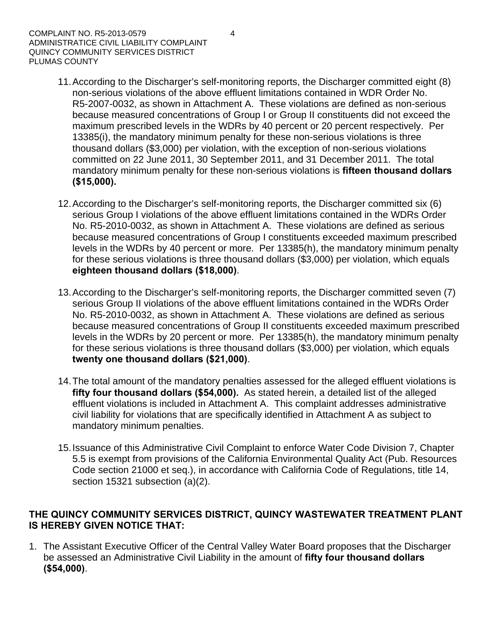- 11. According to the Discharger's self-monitoring reports, the Discharger committed eight (8) non-serious violations of the above effluent limitations contained in WDR Order No. R5-2007-0032, as shown in Attachment A. These violations are defined as non-serious because measured concentrations of Group I or Group II constituents did not exceed the maximum prescribed levels in the WDRs by 40 percent or 20 percent respectively. Per 13385(i), the mandatory minimum penalty for these non-serious violations is three thousand dollars (\$3,000) per violation, with the exception of non-serious violations committed on 22 June 2011, 30 September 2011, and 31 December 2011. The total mandatory minimum penalty for these non-serious violations is **fifteen thousand dollars (\$15,000).**
- 12. According to the Discharger's self-monitoring reports, the Discharger committed six (6) serious Group I violations of the above effluent limitations contained in the WDRs Order No. R5-2010-0032, as shown in Attachment A. These violations are defined as serious because measured concentrations of Group I constituents exceeded maximum prescribed levels in the WDRs by 40 percent or more. Per 13385(h), the mandatory minimum penalty for these serious violations is three thousand dollars (\$3,000) per violation, which equals **eighteen thousand dollars (\$18,000)**.
- 13. According to the Discharger's self-monitoring reports, the Discharger committed seven (7) serious Group II violations of the above effluent limitations contained in the WDRs Order No. R5-2010-0032, as shown in Attachment A. These violations are defined as serious because measured concentrations of Group II constituents exceeded maximum prescribed levels in the WDRs by 20 percent or more. Per 13385(h), the mandatory minimum penalty for these serious violations is three thousand dollars (\$3,000) per violation, which equals **twenty one thousand dollars (\$21,000)**.
- 14. The total amount of the mandatory penalties assessed for the alleged effluent violations is **fifty four thousand dollars (\$54,000).** As stated herein, a detailed list of the alleged effluent violations is included in Attachment A. This complaint addresses administrative civil liability for violations that are specifically identified in Attachment A as subject to mandatory minimum penalties.
- 15. Issuance of this Administrative Civil Complaint to enforce Water Code Division 7, Chapter 5.5 is exempt from provisions of the California Environmental Quality Act (Pub. Resources Code section 21000 et seq.), in accordance with California Code of Regulations, title 14, section 15321 subsection (a)(2).

# **THE QUINCY COMMUNITY SERVICES DISTRICT, QUINCY WASTEWATER TREATMENT PLANT IS HEREBY GIVEN NOTICE THAT:**

1. The Assistant Executive Officer of the Central Valley Water Board proposes that the Discharger be assessed an Administrative Civil Liability in the amount of **fifty four thousand dollars (\$54,000)**.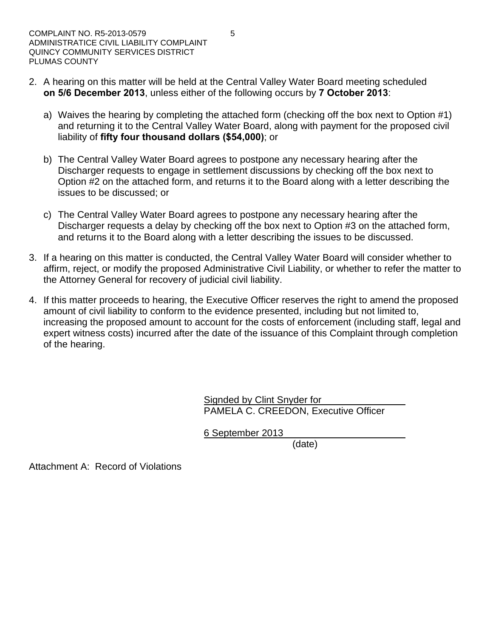- 2. A hearing on this matter will be held at the Central Valley Water Board meeting scheduled **on 5/6 December 2013**, unless either of the following occurs by **7 October 2013**:
	- a) Waives the hearing by completing the attached form (checking off the box next to Option #1) and returning it to the Central Valley Water Board, along with payment for the proposed civil liability of **fifty four thousand dollars (\$54,000)**; or
	- b) The Central Valley Water Board agrees to postpone any necessary hearing after the Discharger requests to engage in settlement discussions by checking off the box next to Option #2 on the attached form, and returns it to the Board along with a letter describing the issues to be discussed; or
	- c) The Central Valley Water Board agrees to postpone any necessary hearing after the Discharger requests a delay by checking off the box next to Option #3 on the attached form, and returns it to the Board along with a letter describing the issues to be discussed.
- 3. If a hearing on this matter is conducted, the Central Valley Water Board will consider whether to affirm, reject, or modify the proposed Administrative Civil Liability, or whether to refer the matter to the Attorney General for recovery of judicial civil liability.
- 4. If this matter proceeds to hearing, the Executive Officer reserves the right to amend the proposed amount of civil liability to conform to the evidence presented, including but not limited to, increasing the proposed amount to account for the costs of enforcement (including staff, legal and expert witness costs) incurred after the date of the issuance of this Complaint through completion of the hearing.

Signded by Clint Snyder for PAMELA C. CREEDON, Executive Officer

6 September 2013

(date)

Attachment A: Record of Violations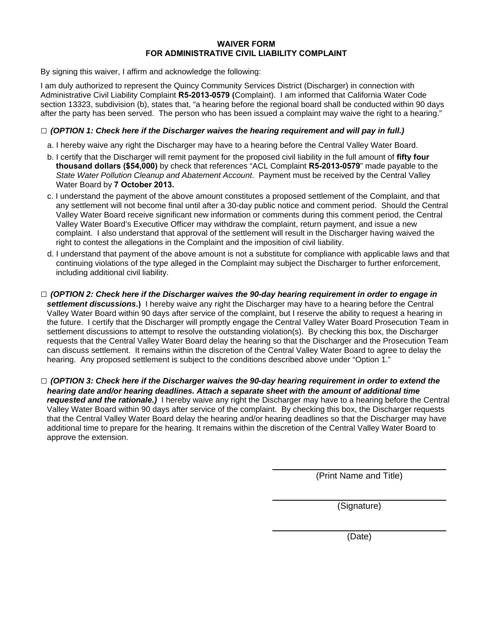#### **WAIVER FORM FOR ADMINISTRATIVE CIVIL LIABILITY COMPLAINT**

By signing this waiver, I affirm and acknowledge the following:

I am duly authorized to represent the Quincy Community Services District (Discharger) in connection with Administrative Civil Liability Complaint **R5-2013-0579 (**Complaint). I am informed that California Water Code section 13323, subdivision (b), states that, "a hearing before the regional board shall be conducted within 90 days after the party has been served. The person who has been issued a complaint may waive the right to a hearing."

#### **□** *(OPTION 1: Check here if the Discharger waives the hearing requirement and will pay in full.)*

- a. I hereby waive any right the Discharger may have to a hearing before the Central Valley Water Board.
- b. I certify that the Discharger will remit payment for the proposed civil liability in the full amount of **fifty four thousand dollars (\$54,000)** by check that references "ACL Complaint **R5-2013-0579**" made payable to the *State Water Pollution Cleanup and Abatement Account*. Payment must be received by the Central Valley Water Board by **7 October 2013.**
- c. I understand the payment of the above amount constitutes a proposed settlement of the Complaint, and that any settlement will not become final until after a 30-day public notice and comment period. Should the Central Valley Water Board receive significant new information or comments during this comment period, the Central Valley Water Board's Executive Officer may withdraw the complaint, return payment, and issue a new complaint. I also understand that approval of the settlement will result in the Discharger having waived the right to contest the allegations in the Complaint and the imposition of civil liability.
- d. I understand that payment of the above amount is not a substitute for compliance with applicable laws and that continuing violations of the type alleged in the Complaint may subject the Discharger to further enforcement, including additional civil liability.
- **□** *(OPTION 2: Check here if the Discharger waives the 90-day hearing requirement in order to engage in settlement discussions***.)** I hereby waive any right the Discharger may have to a hearing before the Central Valley Water Board within 90 days after service of the complaint, but I reserve the ability to request a hearing in the future. I certify that the Discharger will promptly engage the Central Valley Water Board Prosecution Team in settlement discussions to attempt to resolve the outstanding violation(s). By checking this box, the Discharger requests that the Central Valley Water Board delay the hearing so that the Discharger and the Prosecution Team can discuss settlement. It remains within the discretion of the Central Valley Water Board to agree to delay the hearing. Any proposed settlement is subject to the conditions described above under "Option 1."
- **□** *(OPTION 3: Check here if the Discharger waives the 90-day hearing requirement in order to extend the hearing date and/or hearing deadlines. Attach a separate sheet with the amount of additional time requested and the rationale.)* I hereby waive any right the Discharger may have to a hearing before the Central Valley Water Board within 90 days after service of the complaint. By checking this box, the Discharger requests that the Central Valley Water Board delay the hearing and/or hearing deadlines so that the Discharger may have additional time to prepare for the hearing. It remains within the discretion of the Central Valley Water Board to approve the extension.

(Print Name and Title)

(Signature)

(Date)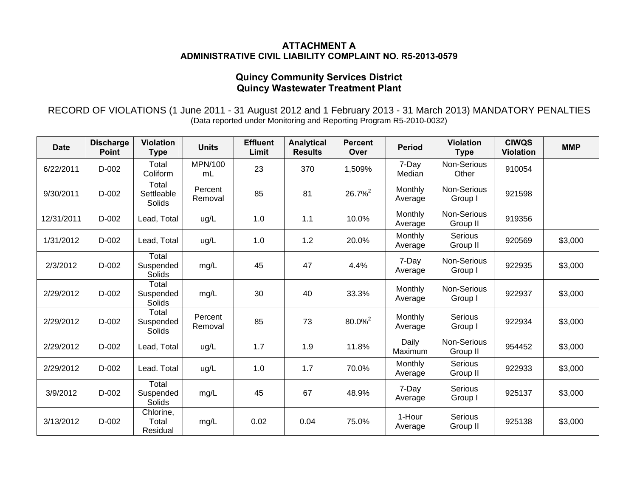#### **ATTACHMENT A ADMINISTRATIVE CIVIL LIABILITY COMPLAINT NO. R5-2013-0579**

## **Quincy Community Services District Quincy Wastewater Treatment Plant**

RECORD OF VIOLATIONS (1 June 2011 - 31 August 2012 and 1 February 2013 - 31 March 2013) MANDATORY PENALTIES (Data reported under Monitoring and Reporting Program R5-2010-0032)

| <b>Date</b> | <b>Discharge</b><br><b>Point</b> | <b>Violation</b><br><b>Type</b> | <b>Units</b>       | <b>Effluent</b><br>Limit | <b>Analytical</b><br><b>Results</b> | <b>Percent</b><br>Over | <b>Period</b>      | <b>Violation</b><br><b>Type</b> | <b>CIWQS</b><br><b>Violation</b> | <b>MMP</b> |
|-------------|----------------------------------|---------------------------------|--------------------|--------------------------|-------------------------------------|------------------------|--------------------|---------------------------------|----------------------------------|------------|
| 6/22/2011   | D-002                            | Total<br>Coliform               | MPN/100<br>mL      | 23                       | 370                                 | 1,509%                 | 7-Day<br>Median    | Non-Serious<br>Other            | 910054                           |            |
| 9/30/2011   | D-002                            | Total<br>Settleable<br>Solids   | Percent<br>Removal | 85                       | 81                                  | $26.7\%^{2}$           | Monthly<br>Average | Non-Serious<br>Group I          | 921598                           |            |
| 12/31/2011  | D-002                            | Lead, Total                     | ug/L               | 1.0                      | 1.1                                 | 10.0%                  | Monthly<br>Average | Non-Serious<br>Group II         | 919356                           |            |
| 1/31/2012   | $D-002$                          | Lead, Total                     | ug/L               | 1.0                      | 1.2                                 | 20.0%                  | Monthly<br>Average | <b>Serious</b><br>Group II      | 920569                           | \$3,000    |
| 2/3/2012    | $D-002$                          | Total<br>Suspended<br>Solids    | mg/L               | 45                       | 47                                  | 4.4%                   | 7-Day<br>Average   | Non-Serious<br>Group I          | 922935                           | \$3,000    |
| 2/29/2012   | $D-002$                          | Total<br>Suspended<br>Solids    | mg/L               | 30                       | 40                                  | 33.3%                  | Monthly<br>Average | Non-Serious<br>Group I          | 922937                           | \$3,000    |
| 2/29/2012   | $D-002$                          | Total<br>Suspended<br>Solids    | Percent<br>Removal | 85                       | 73                                  | 80.0% <sup>2</sup>     | Monthly<br>Average | Serious<br>Group I              | 922934                           | \$3,000    |
| 2/29/2012   | D-002                            | Lead, Total                     | ug/L               | 1.7                      | 1.9                                 | 11.8%                  | Daily<br>Maximum   | Non-Serious<br>Group II         | 954452                           | \$3,000    |
| 2/29/2012   | $D-002$                          | Lead. Total                     | ug/L               | 1.0                      | 1.7                                 | 70.0%                  | Monthly<br>Average | <b>Serious</b><br>Group II      | 922933                           | \$3,000    |
| 3/9/2012    | $D-002$                          | Total<br>Suspended<br>Solids    | mg/L               | 45                       | 67                                  | 48.9%                  | 7-Day<br>Average   | Serious<br>Group I              | 925137                           | \$3,000    |
| 3/13/2012   | $D-002$                          | Chlorine,<br>Total<br>Residual  | mg/L               | 0.02                     | 0.04                                | 75.0%                  | 1-Hour<br>Average  | Serious<br>Group II             | 925138                           | \$3,000    |